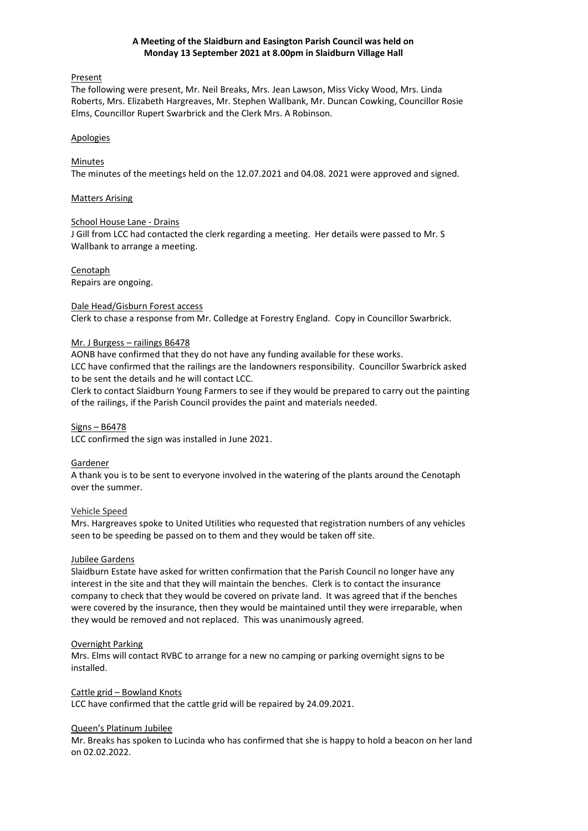# **A Meeting of the Slaidburn and Easington Parish Council was held on Monday 13 September 2021 at 8.00pm in Slaidburn Village Hall**

Present

The following were present, Mr. Neil Breaks, Mrs. Jean Lawson, Miss Vicky Wood, Mrs. Linda Roberts, Mrs. Elizabeth Hargreaves, Mr. Stephen Wallbank, Mr. Duncan Cowking, Councillor Rosie Elms, Councillor Rupert Swarbrick and the Clerk Mrs. A Robinson.

# Apologies

# Minutes

The minutes of the meetings held on the 12.07.2021 and 04.08. 2021 were approved and signed.

# Matters Arising

# School House Lane - Drains

J Gill from LCC had contacted the clerk regarding a meeting. Her details were passed to Mr. S Wallbank to arrange a meeting.

#### Cenotaph

Repairs are ongoing.

# Dale Head/Gisburn Forest access

Clerk to chase a response from Mr. Colledge at Forestry England. Copy in Councillor Swarbrick.

# Mr. J Burgess – railings B6478

AONB have confirmed that they do not have any funding available for these works. LCC have confirmed that the railings are the landowners responsibility. Councillor Swarbrick asked to be sent the details and he will contact LCC.

Clerk to contact Slaidburn Young Farmers to see if they would be prepared to carry out the painting of the railings, if the Parish Council provides the paint and materials needed.

# Signs – B6478

LCC confirmed the sign was installed in June 2021.

# Gardener

A thank you is to be sent to everyone involved in the watering of the plants around the Cenotaph over the summer.

#### Vehicle Speed

Mrs. Hargreaves spoke to United Utilities who requested that registration numbers of any vehicles seen to be speeding be passed on to them and they would be taken off site.

#### Jubilee Gardens

Slaidburn Estate have asked for written confirmation that the Parish Council no longer have any interest in the site and that they will maintain the benches. Clerk is to contact the insurance company to check that they would be covered on private land. It was agreed that if the benches were covered by the insurance, then they would be maintained until they were irreparable, when they would be removed and not replaced. This was unanimously agreed.

#### Overnight Parking

Mrs. Elms will contact RVBC to arrange for a new no camping or parking overnight signs to be installed.

#### Cattle grid – Bowland Knots

LCC have confirmed that the cattle grid will be repaired by 24.09.2021.

# Queen's Platinum Jubilee

Mr. Breaks has spoken to Lucinda who has confirmed that she is happy to hold a beacon on her land on 02.02.2022.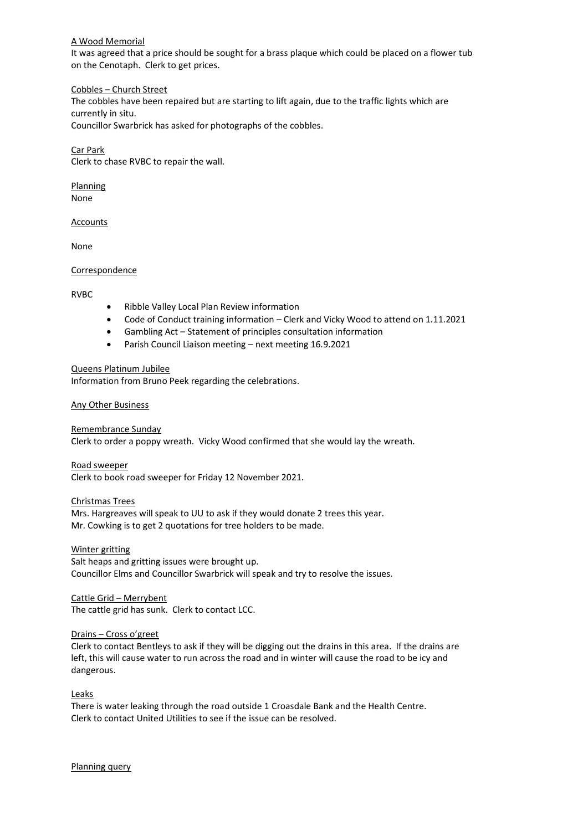### A Wood Memorial

It was agreed that a price should be sought for a brass plaque which could be placed on a flower tub on the Cenotaph. Clerk to get prices.

# Cobbles – Church Street

The cobbles have been repaired but are starting to lift again, due to the traffic lights which are currently in situ.

Councillor Swarbrick has asked for photographs of the cobbles.

# Car Park

Clerk to chase RVBC to repair the wall.

**Planning** None

Accounts

None

# Correspondence

# RVBC

- Ribble Valley Local Plan Review information
- Code of Conduct training information Clerk and Vicky Wood to attend on 1.11.2021
- Gambling Act Statement of principles consultation information
- Parish Council Liaison meeting next meeting 16.9.2021

# Queens Platinum Jubilee

Information from Bruno Peek regarding the celebrations.

# Any Other Business

# Remembrance Sunday

Clerk to order a poppy wreath. Vicky Wood confirmed that she would lay the wreath.

Road sweeper

Clerk to book road sweeper for Friday 12 November 2021.

# Christmas Trees

Mrs. Hargreaves will speak to UU to ask if they would donate 2 trees this year. Mr. Cowking is to get 2 quotations for tree holders to be made.

Winter gritting

Salt heaps and gritting issues were brought up. Councillor Elms and Councillor Swarbrick will speak and try to resolve the issues.

# Cattle Grid – Merrybent

The cattle grid has sunk. Clerk to contact LCC.

# Drains – Cross o'greet

Clerk to contact Bentleys to ask if they will be digging out the drains in this area. If the drains are left, this will cause water to run across the road and in winter will cause the road to be icy and dangerous.

Leaks

There is water leaking through the road outside 1 Croasdale Bank and the Health Centre. Clerk to contact United Utilities to see if the issue can be resolved.